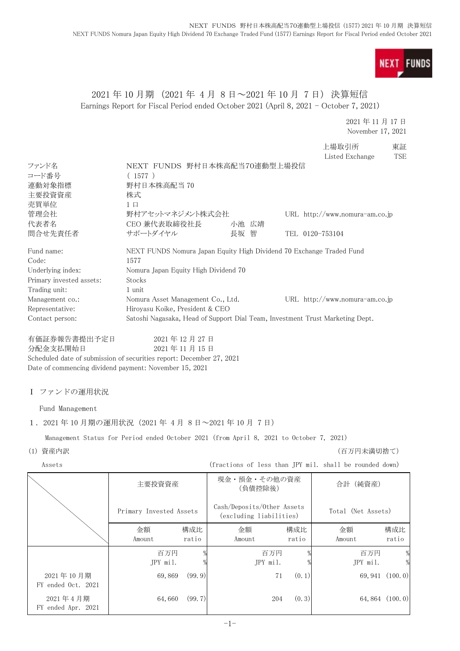**NEXT FUNDS** 

# 2021 年 10 月期 (2021 年 4 月 8 日~2021 年 10 月 7 日) 決算短信 Earnings Report for Fiscal Period ended October 2021 (April 8, 2021 - October 7, 2021)

2021 年 11 月 17 日 November 17, 2021

上場取引所 東証 Listed Exchange TSE

| ファンド名                                                                | NEXT FUNDS 野村日本株高配当70連動型上場投信                                                            |             |        |                            |        |                                                                               |                 |
|----------------------------------------------------------------------|-----------------------------------------------------------------------------------------|-------------|--------|----------------------------|--------|-------------------------------------------------------------------------------|-----------------|
| コード番号                                                                | (1577)                                                                                  |             |        |                            |        |                                                                               |                 |
| 連動対象指標                                                               | 野村日本株高配当 70                                                                             |             |        |                            |        |                                                                               |                 |
| 主要投資資産                                                               | 株式                                                                                      |             |        |                            |        |                                                                               |                 |
| 売買単位                                                                 | $1 \square$                                                                             |             |        |                            |        |                                                                               |                 |
| 管理会社                                                                 | 野村アセットマネジメント株式会社                                                                        |             |        |                            |        | URL http://www.nomura-am.co.jp                                                |                 |
| 代表者名                                                                 | CEO 兼代表取締役社長                                                                            |             |        | 小池 広靖                      |        |                                                                               |                 |
| 問合せ先責任者                                                              | サポートダイヤル                                                                                |             | 長坂 智   |                            |        | TEL 0120-753104                                                               |                 |
| Fund name:                                                           |                                                                                         |             |        |                            |        | NEXT FUNDS Nomura Japan Equity High Dividend 70 Exchange Traded Fund          |                 |
| Code:                                                                | 1577                                                                                    |             |        |                            |        |                                                                               |                 |
| Underlying index:                                                    | Nomura Japan Equity High Dividend 70                                                    |             |        |                            |        |                                                                               |                 |
| Primary invested assets:                                             | Stocks                                                                                  |             |        |                            |        |                                                                               |                 |
| Trading unit:                                                        | 1 unit                                                                                  |             |        |                            |        |                                                                               |                 |
| Management co.:                                                      | Nomura Asset Management Co., Ltd.                                                       |             |        |                            |        | URL http://www.nomura-am.co.jp                                                |                 |
| Representative:                                                      | Hiroyasu Koike, President & CEO                                                         |             |        |                            |        |                                                                               |                 |
| Contact person:                                                      |                                                                                         |             |        |                            |        | Satoshi Nagasaka, Head of Support Dial Team, Investment Trust Marketing Dept. |                 |
| 有価証券報告書提出予定日                                                         |                                                                                         | 2021年12月27日 |        |                            |        |                                                                               |                 |
| 分配金支払開始日                                                             |                                                                                         | 2021年11月15日 |        |                            |        |                                                                               |                 |
| Scheduled date of submission of securities report: December 27, 2021 |                                                                                         |             |        |                            |        |                                                                               |                 |
| Date of commencing dividend payment: November 15, 2021               |                                                                                         |             |        |                            |        |                                                                               |                 |
|                                                                      |                                                                                         |             |        |                            |        |                                                                               |                 |
| I ファンドの運用状況                                                          |                                                                                         |             |        |                            |        |                                                                               |                 |
| Fund Management                                                      |                                                                                         |             |        |                            |        |                                                                               |                 |
|                                                                      |                                                                                         |             |        |                            |        |                                                                               |                 |
| 1. 2021年10月期の運用状況 (2021年4月8日~2021年10月7日)                             |                                                                                         |             |        |                            |        |                                                                               |                 |
|                                                                      | Management Status for Period ended October 2021 (from April 8, 2021 to October 7, 2021) |             |        |                            |        |                                                                               |                 |
| (1) 資産内訳                                                             |                                                                                         |             |        |                            |        | (百万円未満切捨て)                                                                    |                 |
| Assets                                                               |                                                                                         |             |        |                            |        | (fractions of less than JPY mil. shall be rounded down)                       |                 |
|                                                                      | 主要投資資産                                                                                  |             |        | 現金・預金・その他の資産               |        | 合計 (純資産)                                                                      |                 |
|                                                                      |                                                                                         |             |        | (負債控除後)                    |        |                                                                               |                 |
|                                                                      |                                                                                         |             |        | Cash/Deposits/Other Assets |        |                                                                               |                 |
|                                                                      | Primary Invested Assets                                                                 |             |        | (excluding liabilities)    |        | Total (Net Assets)                                                            |                 |
|                                                                      | 金額                                                                                      | 構成比         | 金額     |                            | 構成比    | 金額                                                                            | 構成比             |
|                                                                      | Amount                                                                                  | ratio       | Amount |                            | ratio  | Amount                                                                        | ratio           |
|                                                                      |                                                                                         |             |        |                            |        |                                                                               |                 |
|                                                                      | 百万円                                                                                     |             |        | 百万円                        |        | 百万円                                                                           |                 |
|                                                                      | JPY mil.                                                                                |             |        | JPY mil.                   |        | JPY mil.                                                                      | %               |
| 2021年10月期                                                            | 69,869                                                                                  | (99.9)      |        | 71                         | (0, 1) |                                                                               | 69, 941 (100.0) |
| FY ended Oct. 2021                                                   |                                                                                         |             |        |                            |        |                                                                               |                 |
| 2021年4月期                                                             | 64,660                                                                                  | (99.7)      |        | 204                        | (0, 3) |                                                                               | 64,864 (100.0)  |
| FY ended Apr. 2021                                                   |                                                                                         |             |        |                            |        |                                                                               |                 |
|                                                                      |                                                                                         |             |        |                            |        |                                                                               |                 |
|                                                                      |                                                                                         |             | $-1-$  |                            |        |                                                                               |                 |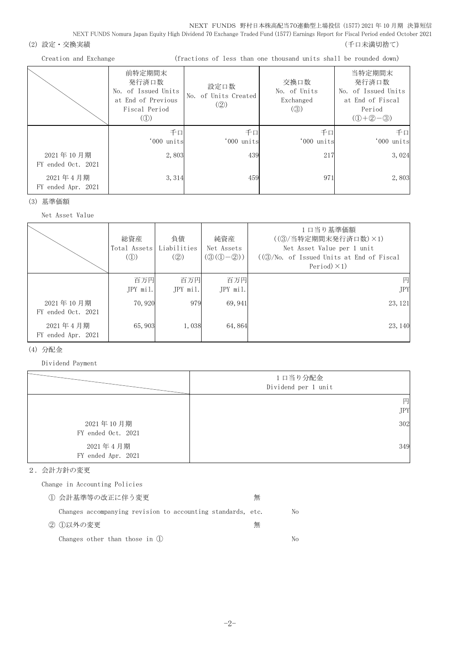NEXT FUNDS 野村日本株高配当70連動型上場投信 (1577) 2021 年 10 月期 決算短信 NEXT FUNDS Nomura Japan Equity High Dividend 70 Exchange Traded Fund (1577) Earnings Report for Fiscal Period ended October 2021

(2) 設定・交換実績 (2) またのは、これまでは、これまでは、これまでは、これまでは、これまでは、これまでは、これまでは、これまでは、これまでは、これまでは、

| Creation and Exchange |  |
|-----------------------|--|
|-----------------------|--|

(fractions of less than one thousand units shall be rounded down)

|                                 | 前特定期間末<br>発行済口数<br>No. of Issued Units<br>at End of Previous<br>Fiscal Period<br>$\left( $ | 設定口数<br>No. of Units Created<br>(Q) | 交換口数<br>No. of Units<br>Exchanged<br>(3) | 当特定期間末<br>発行済口数<br>No. of Issued Units<br>at End of Fiscal<br>Period<br>$(D+2-3)$ |
|---------------------------------|--------------------------------------------------------------------------------------------|-------------------------------------|------------------------------------------|-----------------------------------------------------------------------------------|
|                                 | 千口<br>'000 units                                                                           | 千口<br>'000 units                    | 千口<br>'000 units                         | 千口<br>'000 units                                                                  |
| 2021年10月期<br>FY ended Oct. 2021 | 2,803                                                                                      | 439                                 | 217                                      | 3,024                                                                             |
| 2021年4月期<br>FY ended Apr. 2021  | 3, 314                                                                                     | 459                                 | 971                                      | 2,803                                                                             |

(3) 基準価額

Net Asset Value

|                                 | 総資産<br>Total Assets<br>$\mathcal{L}(\mathbb{D})$ | 負債<br>Liabilities<br>(Q) | 純資産<br>Net Assets<br>$(③(①-②))$ | 1口当り基準価額<br>((3) / 当特定期間末発行済口数) ×1)<br>Net Asset Value per 1 unit<br>$((\textcircled{3}/\text{No. of } I$ ssued Units at End of Fiscal<br>Period $)\times$ 1) |
|---------------------------------|--------------------------------------------------|--------------------------|---------------------------------|---------------------------------------------------------------------------------------------------------------------------------------------------------------|
|                                 | 百万円<br>JPY mil.                                  | 百万円<br>JPY mil.          | 百万円<br>JPY mil.                 | 円<br><b>JPY</b>                                                                                                                                               |
| 2021年10月期<br>FY ended Oct. 2021 | 70,920                                           | 979                      | 69, 941                         | 23, 121                                                                                                                                                       |
| 2021年4月期<br>FY ended Apr. 2021  | 65,903                                           | 1,038                    | 64,864                          | 23, 140                                                                                                                                                       |

### (4) 分配金

Dividend Payment

|                                | 1口当り分配金<br>Dividend per 1 unit |
|--------------------------------|--------------------------------|
|                                | 円                              |
|                                | <b>JPY</b>                     |
| 2021年10月期                      | 302                            |
| FY ended Oct. 2021             |                                |
| 2021年4月期<br>FY ended Apr. 2021 | 349                            |

### 2.会計方針の変更

Change in Accounting Policies

| ① 会計基準等の改正に伴う変更                                             | 無 |    |
|-------------------------------------------------------------|---|----|
| Changes accompanying revision to accounting standards, etc. |   | No |
| ② ①以外の変更                                                    | 無 |    |
| Changes other than those in $(l)$                           |   | Nο |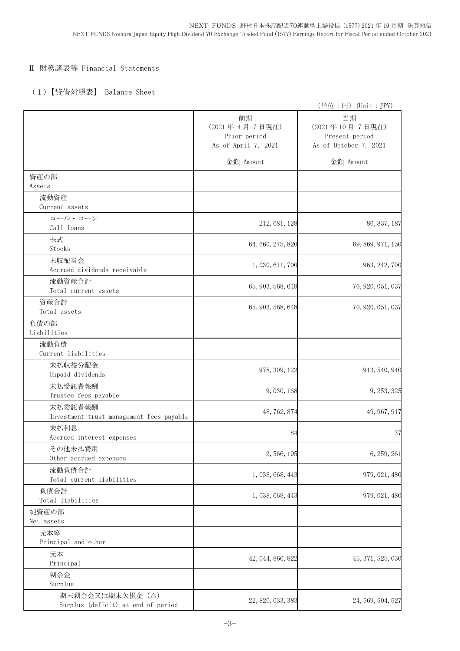## Ⅱ 財務諸表等 Financial Statements

## (1)【貸借対照表】 Balance Sheet

|                                                     |                                                            | (単位:円) (Unit: JPY)                                              |
|-----------------------------------------------------|------------------------------------------------------------|-----------------------------------------------------------------|
|                                                     | 前期<br>(2021年4月7日現在)<br>Prior period<br>As of April 7, 2021 | 当期<br>(2021年10月7日現在)<br>Present period<br>As of October 7, 2021 |
|                                                     | 金額 Amount                                                  | 金額 Amount                                                       |
| 資産の部<br>Assets                                      |                                                            |                                                                 |
| 流動資産                                                |                                                            |                                                                 |
| Current assets                                      |                                                            |                                                                 |
| コール・ローン<br>Call loans                               | 212, 681, 128                                              | 86, 837, 187                                                    |
| 株式<br>Stocks                                        | 64, 660, 275, 820                                          | 69, 869, 971, 150                                               |
| 未収配当金<br>Accrued dividends receivable               | 1,030,611,700                                              | 963, 242, 700                                                   |
|                                                     |                                                            |                                                                 |
| 流動資産合計<br>Total current assets                      | 65, 903, 568, 648                                          | 70, 920, 051, 037                                               |
| 資産合計<br>Total assets                                | 65, 903, 568, 648                                          | 70, 920, 051, 037                                               |
| 負債の部<br>Liabilities                                 |                                                            |                                                                 |
| 流動負債<br>Current liabilities                         |                                                            |                                                                 |
| 未払収益分配金<br>Unpaid dividends                         | 978, 309, 122                                              | 913, 540, 940                                                   |
| 未払受託者報酬<br>Trustee fees payable                     | 9,030,168                                                  | 9, 253, 325                                                     |
| 未払委託者報酬<br>Investment trust management fees payable | 48, 762, 874                                               | 49, 967, 917                                                    |
| 未払利息<br>Accrued interest expenses                   | 84                                                         | 37                                                              |
| その他未払費用<br>Other accrued expenses                   | 2,566,195                                                  | 6, 259, 261                                                     |
| 流動負債合計<br>Total current liabilities                 | 1, 038, 668, 443                                           | 979, 021, 480                                                   |
| 負債合計<br>Total liabilities                           | 1, 038, 668, 443                                           | 979, 021, 480                                                   |
| 純資産の部<br>Net assets                                 |                                                            |                                                                 |
| 元本等<br>Principal and other                          |                                                            |                                                                 |
| 元本<br>Principal                                     | 42, 044, 866, 822                                          | 45, 371, 525, 030                                               |
| 剰余金                                                 |                                                            |                                                                 |
| Surplus<br>期末剰余金又は期末欠損金 (△)                         |                                                            |                                                                 |
| Surplus (deficit) at end of period                  | 22, 820, 033, 383                                          | 24, 569, 504, 527                                               |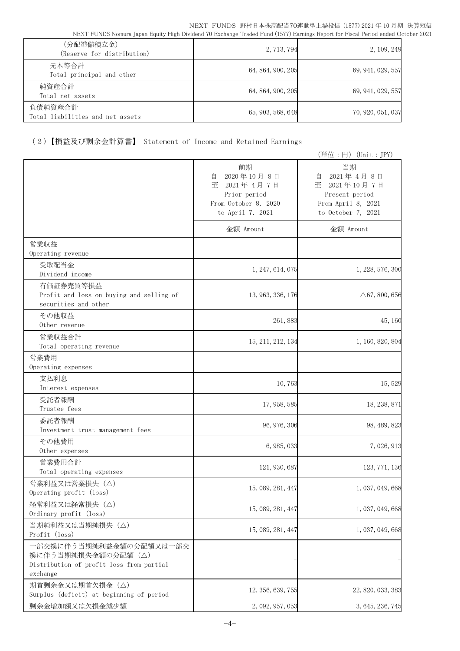| (分配準備積立金)<br>(Reserve for distribution)     | 2, 713, 794       | 2, 109, 249       |
|---------------------------------------------|-------------------|-------------------|
| 元本等合計<br>Total principal and other          | 64, 864, 900, 205 | 69, 941, 029, 557 |
| 純資産合計<br>Total net assets                   | 64, 864, 900, 205 | 69, 941, 029, 557 |
| 負債純資産合計<br>Total liabilities and net assets | 65, 903, 568, 648 | 70, 920, 051, 037 |

# (2)【損益及び剰余金計算書】 Statement of Income and Retained Earnings

|                                                                                                       |                                                                                                     | (単位:円) (Unit:JPY)                                                                                     |
|-------------------------------------------------------------------------------------------------------|-----------------------------------------------------------------------------------------------------|-------------------------------------------------------------------------------------------------------|
|                                                                                                       | 前期<br>2020年10月8日<br>自<br>至<br>2021年4月7日<br>Prior period<br>From October 8, 2020<br>to April 7, 2021 | 当期<br>2021年4月8日<br>自<br>2021年10月7日<br>至<br>Present period<br>From April 8, 2021<br>to October 7, 2021 |
|                                                                                                       | 金額 Amount                                                                                           | 金額 Amount                                                                                             |
| 営業収益<br>Operating revenue                                                                             |                                                                                                     |                                                                                                       |
| 受取配当金<br>Dividend income                                                                              | 1, 247, 614, 075                                                                                    | 1, 228, 576, 300                                                                                      |
| 有価証券売買等損益<br>Profit and loss on buying and selling of<br>securities and other                         | 13, 963, 336, 176                                                                                   | $\triangle 67, 800, 656$                                                                              |
| その他収益<br>Other revenue                                                                                | 261,883                                                                                             | 45, 160                                                                                               |
| 営業収益合計<br>Total operating revenue                                                                     | 15, 211, 212, 134                                                                                   | 1, 160, 820, 804                                                                                      |
| 営業費用<br>Operating expenses                                                                            |                                                                                                     |                                                                                                       |
| 支払利息<br>Interest expenses                                                                             | 10,763                                                                                              | 15,529                                                                                                |
| 受託者報酬<br>Trustee fees                                                                                 | 17, 958, 585                                                                                        | 18, 238, 871                                                                                          |
| 委託者報酬<br>Investment trust management fees                                                             | 96, 976, 306                                                                                        | 98, 489, 823                                                                                          |
| その他費用<br>Other expenses                                                                               | 6, 985, 033                                                                                         | 7,026,913                                                                                             |
| 営業費用合計<br>Total operating expenses                                                                    | 121, 930, 687                                                                                       | 123, 771, 136                                                                                         |
| 営業利益又は営業損失(△)<br>Operating profit (loss)                                                              | 15, 089, 281, 447                                                                                   | 1, 037, 049, 668                                                                                      |
| 経常利益又は経常損失 (△)<br>Ordinary profit (loss)                                                              | 15, 089, 281, 447                                                                                   | 1, 037, 049, 668                                                                                      |
| 当期純利益又は当期純損失 (△)<br>Profit (loss)                                                                     | 15, 089, 281, 447                                                                                   | 1, 037, 049, 668                                                                                      |
| 一部交換に伴う当期純利益金額の分配額又は一部交<br>換に伴う当期純損失金額の分配額(△)<br>Distribution of profit loss from partial<br>exchange |                                                                                                     |                                                                                                       |
| 期首剰余金又は期首欠損金 (△)<br>Surplus (deficit) at beginning of period                                          | 12, 356, 639, 755                                                                                   | 22, 820, 033, 383                                                                                     |
| 剰余金増加額又は欠損金減少額                                                                                        | 2, 092, 957, 053                                                                                    | 3, 645, 236, 745                                                                                      |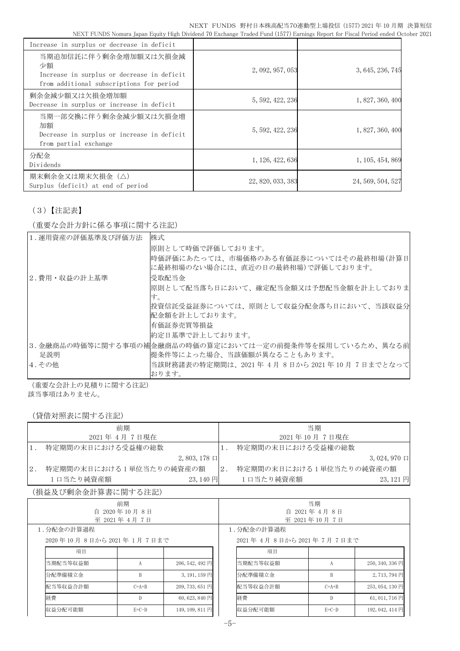| Increase in surplus or decrease in deficit                                                                            |                   |                   |
|-----------------------------------------------------------------------------------------------------------------------|-------------------|-------------------|
| 当期追加信託に伴う剰余金増加額又は欠損金減<br>少額<br>Increase in surplus or decrease in deficit<br>from additional subscriptions for period | 2, 092, 957, 053  | 3, 645, 236, 745  |
| 剰余金減少額又は欠損金増加額<br>Decrease in surplus or increase in deficit                                                          | 5, 592, 422, 236  | 1, 827, 360, 400  |
| 当期一部交換に伴う剰余金減少額又は欠損金増<br>加額<br>Decrease in surplus or increase in deficit<br>from partial exchange                    | 5, 592, 422, 236  | 1, 827, 360, 400  |
| 分配金<br>Dividends                                                                                                      | 1, 126, 422, 636  | 1, 105, 454, 869  |
| 期末剰余金又は期末欠損金(△)<br>Surplus (deficit) at end of period                                                                 | 22, 820, 033, 383 | 24, 569, 504, 527 |

# (3)【注記表】

(重要な会計方針に係る事項に関する注記)

| 1. 運用資産の評価基準及び評価方法 | 株式                                                                           |
|--------------------|------------------------------------------------------------------------------|
|                    | 原則として時価で評価しております。                                                            |
|                    | 時価評価にあたっては、市場価格のある有価証券についてはその最終相場(計算日 <br> に最終相場のない場合には、直近の日の最終相場)で評価しております。 |
| 2.費用・収益の計上基準       | 受取配当金                                                                        |
|                    | 原則として配当落ち日において、確定配当金額又は予想配当金額を計上しておりま                                        |
|                    | す。                                                                           |
|                    | 投資信託受益証券については、原則として収益分配金落ち日において、当該収益分                                        |
|                    | 配金額を計上しております。                                                                |
|                    | 有価証券売買等損益                                                                    |
|                    | 約定日基準で計上しております。                                                              |
|                    | 3.金融商品の時価等に関する事項の補金融商品の時価の算定においては一定の前提条件等を採用しているため、異なる前                      |
| 足説明                | 提条件等によった場合、当該価額が異なることもあります。                                                  |
| 4.その他              | 当該財務諸表の特定期間は、2021年 4月 8日から 2021年 10 月 7日までとなって                               |
|                    | おります。                                                                        |

(重要な会計上の見積りに関する注記) 該当事項はありません。

(貸借対照表に関する注記)

| 前期<br>当期<br>2021年 4月 7日現在<br>2021年10月7日現在<br>特定期間の末日における受益権の総数<br>特定期間の末日における受益権の総数<br>$1$ .<br>1.<br>$2,803,178$ 口<br>特定期間の末日における1単位当たりの純資産の額<br>$2$ .<br>特定期間の末日における1単位当たりの純資産の額<br>2.<br>1口当たり純資産額<br>1口当たり純資産額<br>$23,140$ 円<br>(損益及び剰余金計算書に関する注記)<br>当期<br>前期<br>自 2020年10月8日<br>自 2021年4月8日<br>至 2021年 4月 7日<br>至 2021年10月7日<br>1.分配金の計算過程<br>1. 分配金の計算過程<br>2020年10月8日から2021年1月7日まで<br>2021年4月8日から2021年7月7日まで<br>項目<br>項目<br>当期配当等収益額<br>当期配当等収益額<br>206, 542, 492 円<br>A<br>A<br>分配準備積立金<br>分配準備積立金<br>B<br>3, 191, 159 円<br>B<br>配当等収益合計額<br>配当等収益合計額<br>209, 733, 651 円<br>$C=A+B$<br>$C=A+B$<br>経費<br>経費<br>$60,623,840$ 円<br>$\mathbb{D}$<br>$\mathbb{D}$<br>$E=C-D$<br>$E=C-D$ | \ 貝´百刈 !!!!衣 \ㄴ 判 9 ´Q {土iL} |  |                 |  |         |  |                  |
|---------------------------------------------------------------------------------------------------------------------------------------------------------------------------------------------------------------------------------------------------------------------------------------------------------------------------------------------------------------------------------------------------------------------------------------------------------------------------------------------------------------------------------------------------------------------------------------------------------------------------------------------------------------------------------------------|------------------------------|--|-----------------|--|---------|--|------------------|
|                                                                                                                                                                                                                                                                                                                                                                                                                                                                                                                                                                                                                                                                                             |                              |  |                 |  |         |  |                  |
|                                                                                                                                                                                                                                                                                                                                                                                                                                                                                                                                                                                                                                                                                             |                              |  |                 |  |         |  |                  |
|                                                                                                                                                                                                                                                                                                                                                                                                                                                                                                                                                                                                                                                                                             |                              |  |                 |  |         |  |                  |
|                                                                                                                                                                                                                                                                                                                                                                                                                                                                                                                                                                                                                                                                                             |                              |  |                 |  |         |  | $3,024,970 \Box$ |
|                                                                                                                                                                                                                                                                                                                                                                                                                                                                                                                                                                                                                                                                                             |                              |  |                 |  |         |  |                  |
|                                                                                                                                                                                                                                                                                                                                                                                                                                                                                                                                                                                                                                                                                             |                              |  |                 |  |         |  | 23,121円          |
|                                                                                                                                                                                                                                                                                                                                                                                                                                                                                                                                                                                                                                                                                             |                              |  |                 |  |         |  |                  |
|                                                                                                                                                                                                                                                                                                                                                                                                                                                                                                                                                                                                                                                                                             |                              |  |                 |  |         |  |                  |
|                                                                                                                                                                                                                                                                                                                                                                                                                                                                                                                                                                                                                                                                                             |                              |  |                 |  |         |  |                  |
|                                                                                                                                                                                                                                                                                                                                                                                                                                                                                                                                                                                                                                                                                             |                              |  |                 |  |         |  |                  |
|                                                                                                                                                                                                                                                                                                                                                                                                                                                                                                                                                                                                                                                                                             |                              |  |                 |  |         |  |                  |
|                                                                                                                                                                                                                                                                                                                                                                                                                                                                                                                                                                                                                                                                                             |                              |  |                 |  |         |  |                  |
|                                                                                                                                                                                                                                                                                                                                                                                                                                                                                                                                                                                                                                                                                             |                              |  |                 |  |         |  |                  |
|                                                                                                                                                                                                                                                                                                                                                                                                                                                                                                                                                                                                                                                                                             |                              |  |                 |  |         |  | 250, 340, 336 円  |
|                                                                                                                                                                                                                                                                                                                                                                                                                                                                                                                                                                                                                                                                                             |                              |  |                 |  |         |  | 2,713,794円       |
|                                                                                                                                                                                                                                                                                                                                                                                                                                                                                                                                                                                                                                                                                             |                              |  |                 |  |         |  | 253, 054, 130 円  |
|                                                                                                                                                                                                                                                                                                                                                                                                                                                                                                                                                                                                                                                                                             |                              |  |                 |  |         |  | 61, 011, 716 円   |
|                                                                                                                                                                                                                                                                                                                                                                                                                                                                                                                                                                                                                                                                                             | 収益分配可能額                      |  | 149, 109, 811 円 |  | 収益分配可能額 |  | 192, 042, 414 円  |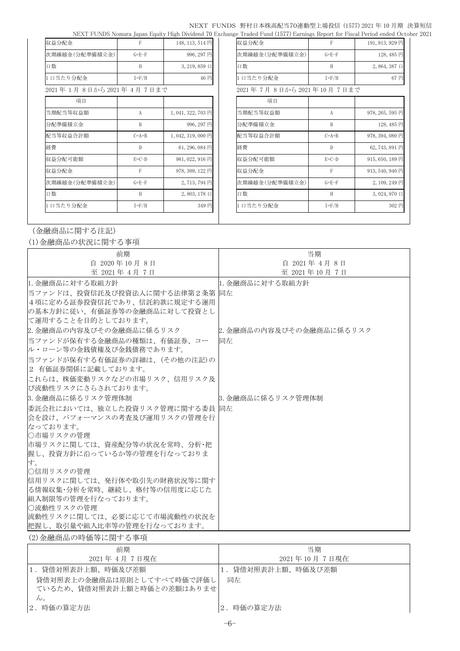#### NEXT FUNDS 野村日本株高配当70連動型上場投信 (1577) 2021 年 10 月期 決算短信 NEXT FUNDS Nomura Japan Equity High Dividend 70 Exchange Traded Fund (1577) Earnings Report for Fiscal Period ended October 2021

| 収益分配金                  | F            | 148, 113, 514 円     | 収益分配金                   | F           | 191, 913, 929 円     |
|------------------------|--------------|---------------------|-------------------------|-------------|---------------------|
| 次期繰越金(分配準備積立金)         | $G = E - F$  | 996, 297 円          | 次期繰越金(分配準備積立金)          | $G = E - F$ | 128,485円            |
| 口数                     | H            | $3, 219, 859 \Box$  | 口数                      | H           | $2,864,387 \square$ |
| 1口当たり分配金               | $I = F/H$    | 46円                 | 口当たり分配金                 | $I = F/H$   | 67円                 |
| 2021年1月8日から2021年4月7日まで |              |                     | 2021年7月8日から2021年10月7日まで |             |                     |
| 項目                     |              |                     | 項目                      |             |                     |
| 当期配当等収益額               | A            | 1,041,322,703円      | 当期配当等収益額                | A           | 978, 265, 595 円     |
| 分配準備積立金                | B            | 996, 297 円          | 分配準備積立金                 | B           | 128,485円            |
| 配当等収益合計額               | $C=A+B$      | 1,042,319,000円      | 配当等収益合計額                | $C=A+B$     | 978, 394, 080 円     |
| 経費                     | $\mathbb{D}$ | 61, 296, 084 円      | 経費                      | D           | 62, 743, 891 円      |
| 収益分配可能額                | $E=C-D$      | 981, 022, 916 円     | 収益分配可能額                 | $E=C-D$     | 915, 650, 189 円     |
| 収益分配金                  | $\mathsf{F}$ | 978, 309, 122 円     | 収益分配金                   | F           | 913, 540, 940 円     |
| 次期繰越金(分配準備積立金)         | $G = E - F$  | 2,713,794円          | 次期繰越金(分配準備積立金)          | $G = E - F$ | 2,109,249円          |
| 口数                     | H            | $2,803,178 \square$ | 口数                      | H           | $3,024,970 \square$ |
| 1口当たり分配金               | $I = F/H$    | 349円                | 口当たり分配金                 | $I = F/H$   | 302円                |
|                        |              |                     |                         |             |                     |

| 収益分配金                           | F           | 191, 913, 929 円     |
|---------------------------------|-------------|---------------------|
| 次期繰越金(分配準備積立金)                  | $G = E - F$ | 128, 485 円          |
| 口数                              | H           | $2,864,387 \square$ |
| 1口当たり分配金                        | $I = F/H$   | 67円                 |
| 2021 年 7月 8日から 2021 年 10 月 7日まで |             |                     |
| 項目                              |             |                     |
| 当期配当等収益額                        | A           | 978, 265, 595 円     |
| 分配準備積立金                         | B           | 128, 485 円          |
| 配当等収益合計額                        | $C=A+B$     | 978, 394, 080 円     |
| 経費                              | D           | 62, 743, 891 円      |
| 収益分配可能額                         | $E=C-D$     | 915, 650, 189 円     |
| 収益分配金                           | F           | 913, 540, 940 円     |
| 次期繰越金(分配準備積立金)                  | $G = E - F$ | 2, 109, 249 円       |
| 口数                              | H           | 3,024,970 口         |
| 1口当たり分配金                        | $I = F/H$   | 302 円               |
|                                 |             |                     |

## (金融商品に関する注記)

(1)金融商品の状況に関する事項

| 前期                               | 当期                       |
|----------------------------------|--------------------------|
| 自 2020年10月8日                     | 自 2021年 4月 8日            |
| 至 2021年 4月 7日                    | 至 2021年10月7日             |
| 1. 金融商品に対する取組方針                  | 1. 金融商品に対する取組方針          |
| 当ファンドは、投資信託及び投資法人に関する法律第2条第  同左  |                          |
| 4 項に定める証券投資信託であり、信託約款に規定する運用     |                          |
| の基本方針に従い、有価証券等の金融商品に対して投資とし      |                          |
| で運用することを目的としております。               |                          |
| 2. 金融商品の内容及びその金融商品に係るリスク         | 2. 金融商品の内容及びその金融商品に係るリスク |
| 当ファンドが保有する金融商品の種類は、有価証券、コー       | 同左                       |
| ル・ローン等の金銭債権及び金銭債務であります。          |                          |
| 当ファンドが保有する有価証券の詳細は、(その他の注記)の     |                          |
| 2 有価証券関係に記載しております。               |                          |
| これらは、株価変動リスクなどの市場リスク、信用リスク及      |                          |
| び流動性リスクにさらされております。               |                          |
| 8. 金融商品に係るリスク管理体制                | 3. 金融商品に係るリスク管理体制        |
| 委託会社においては、独立した投資リスク管理に関する委員   同左 |                          |
| 会を設け、パフォーマンスの考査及び運用リスクの管理を行      |                          |
| なっております。                         |                          |
| ○市場リスクの管理                        |                          |
| 市場リスクに関しては、資産配分等の状況を常時、分析・把      |                          |
| 握し、投資方針に沿っているか等の管理を行なっておりま       |                          |
| す。                               |                          |
| ○信用リスクの管理                        |                          |
| 信用リスクに関しては、発行体や取引先の財務状況等に関す      |                          |
| る情報収集・分析を常時、継続し、格付等の信用度に応じた      |                          |
| 組入制限等の管理を行なっております。               |                          |
| ○流動性リスクの管理                       |                          |
| 流動性リスクに関しては、必要に応じて市場流動性の状況を      |                          |
| 把握し、取引量や組入比率等の管理を行なっております。       |                          |

## (2)金融商品の時価等に関する事項

| 前期                         | 当期              |
|----------------------------|-----------------|
| 2021年4月7日現在                | 2021年10月7日現在    |
| 1. 貸借対照表計上額、時価及び差額         | 貸借対照表計上額、時価及び差額 |
| 貸借対照表上の金融商品は原則としてすべて時価で評価し | 同左              |
| ているため、貸借対照表計上額と時価との差額はありませ |                 |
| $\mathcal{W}_\circ$        |                 |
| 2. 時価の算定方法                 | 時価の算定方法         |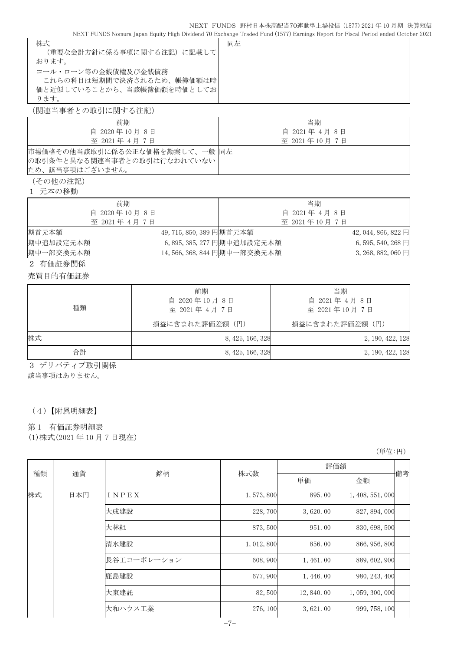#### NEXT FUNDS 野村日本株高配当70連動型上場投信 (1577) 2021 年 10 月期 決算短信

NEXT FUNDS Nomura Japan Equity High Dividend 70 Exchange Traded Fund (1577) Earnings Report for Fiscal Period ended October 2021

| 株式                         | 同左 |
|----------------------------|----|
| (重要な会計方針に係る事項に関する注記) に記載して |    |
| おります。                      |    |
| コール・ローン等の金銭債権及び金銭債務        |    |
| これらの科目は短期間で決済されるため、帳簿価額は時  |    |
| 価と近似していることから、当該帳簿価額を時価としてお |    |
| ります。                       |    |
|                            |    |

(関連当事者との取引に関する注記)

| 前期                             | 当期            |
|--------------------------------|---------------|
| 自 2020年10月8日                   | 自 2021年 4月 8日 |
| 至 2021年 4月 7日                  | 至 2021年10月7日  |
| 市場価格その他当該取引に係る公正な価格を勘案して、一般 同左 |               |
| の取引条件と異なる関連当事者との取引は行なわれていない    |               |
| ため、該当事項はございません。                |               |
|                                |               |

(その他の注記)

1 元本の移動

| 前期            |                          |                             | 当期            |                      |
|---------------|--------------------------|-----------------------------|---------------|----------------------|
| 自 2020年10月8日  |                          |                             | 自 2021年 4月 8日 |                      |
| 至 2021年 4月 7日 |                          |                             | 至 2021年10月7日  |                      |
| 期首元本額         | 49, 715, 850, 389 円期首元本額 |                             |               | 42, 044, 866, 822 円  |
| 期中追加設定元本額     |                          | 6, 895, 385, 277 円期中追加設定元本額 |               | $6, 595, 540, 268$ 円 |
| 期中一部交換元本額     |                          | 14,566,368,844 円期中一部交換元本額   |               | 3, 268, 882, 060 円   |

2 有価証券関係

売買目的有価証券

| 種類 | 前期<br>自 2020年10月8日<br>至 2021年 4月 7日 | 当期<br>自 2021年4月8日<br>至 2021年10月7日 |
|----|-------------------------------------|-----------------------------------|
|    | 損益に含まれた評価差額(円)                      | 損益に含まれた評価差額(円)                    |
| 株式 | 8, 425, 166, 328                    | 2, 190, 422, 128                  |
| 合計 | 8, 425, 166, 328                    | 2, 190, 422, 128                  |

3 デリバティブ取引関係

該当事項はありません。

(4)【附属明細表】

#### 第 1 有価証券明細表

(1)株式(2021 年 10 月 7 日現在)

(単位:円)

| 種類<br>通貨 | 銘柄   | 株式数         | 評価額         |               |                  |    |
|----------|------|-------------|-------------|---------------|------------------|----|
|          |      |             |             | 単価            | 金額               | 備考 |
| 株式       | 日本円  | INPEX       | 1,573,800   | 895.00        | 1, 408, 551, 000 |    |
|          |      | 大成建設        | 228,700     | 3,620.00      | 827, 894, 000    |    |
|          |      | 大林組         | 873,500     | 951.00        | 830, 698, 500    |    |
|          |      | 清水建設        | 1, 012, 800 | 856.00        | 866, 956, 800    |    |
|          |      | 長谷工コーポレーション | 608,900     | 1,461.00      | 889, 602, 900    |    |
|          | 鹿島建設 | 677,900     | 1, 446.00   | 980, 243, 400 |                  |    |
|          | 大東建託 | 82,500      | 12,840.00   | 1,059,300,000 |                  |    |
|          |      | 大和ハウス工業     | 276, 100    | 3,621.00      | 999, 758, 100    |    |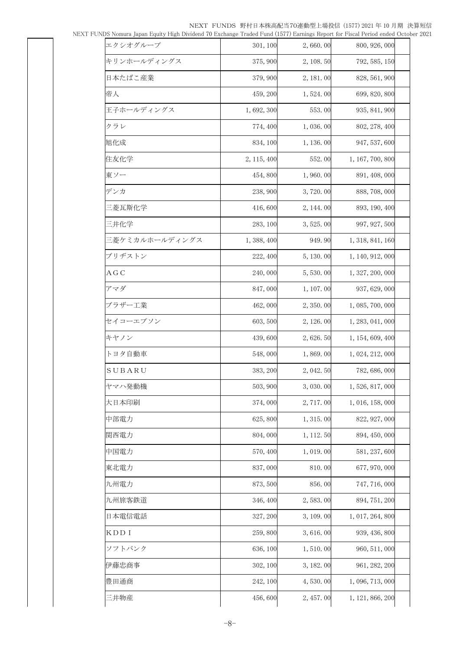NEXT FUNDS 野村日本株高配当70連動型上場投信 (1577) 2021 年 10 月期 決算短信<br>vidend 70 Exchange Traded Fund (1577) Earnings Report for Fiscal Period ended October 2021

|  | NEXT FUNDS Nomura Japan Equity High Dividend 70 Exchange Traded Fund (1577) Earnings Report for Fiscal Period ended October 2021 |  |
|--|----------------------------------------------------------------------------------------------------------------------------------|--|
|  |                                                                                                                                  |  |

| NDS Nomura Japan Equity High Dividend 70 Exchange Traded Fund (1577) Earnings Keport for Fiscal Period ended Octob |             |            |                  |  |
|--------------------------------------------------------------------------------------------------------------------|-------------|------------|------------------|--|
| エクシオグループ                                                                                                           | 301, 100    | 2,660.00   | 800, 926, 000    |  |
| キリンホールディングス                                                                                                        | 375, 900    | 2, 108. 50 | 792, 585, 150    |  |
| 日本たばこ産業                                                                                                            | 379,900     | 2, 181.00  | 828, 561, 900    |  |
| 帝人                                                                                                                 | 459, 200    | 1,524.00   | 699, 820, 800    |  |
| 王子ホールディングス                                                                                                         | 1,692,300   | 553.00     | 935, 841, 900    |  |
| クラレ                                                                                                                | 774, 400    | 1,036.00   | 802, 278, 400    |  |
| 旭化成                                                                                                                | 834, 100    | 1, 136.00  | 947, 537, 600    |  |
| 住友化学                                                                                                               | 2, 115, 400 | 552.00     | 1, 167, 700, 800 |  |
| 東ソー                                                                                                                | 454,800     | 1,960.00   | 891, 408, 000    |  |
| デンカ                                                                                                                | 238,900     | 3,720.00   | 888, 708, 000    |  |
| 三菱瓦斯化学                                                                                                             | 416,600     | 2, 144. 00 | 893, 190, 400    |  |
| 三井化学                                                                                                               | 283, 100    | 3, 525.00  | 997, 927, 500    |  |
| 三菱ケミカルホールディングス                                                                                                     | 1, 388, 400 | 949.90     | 1, 318, 841, 160 |  |
| ブリヂストン                                                                                                             | 222, 400    | 5, 130, 00 | 1, 140, 912, 000 |  |
| A G C                                                                                                              | 240,000     | 5,530.00   | 1, 327, 200, 000 |  |
| アマダ                                                                                                                | 847,000     | 1, 107.00  | 937, 629, 000    |  |
| ブラザー工業                                                                                                             | 462,000     | 2, 350.00  | 1, 085, 700, 000 |  |
| セイコーエプソン                                                                                                           | 603, 500    | 2, 126.00  | 1, 283, 041, 000 |  |
| キヤノン                                                                                                               | 439,600     | 2, 626. 50 | 1, 154, 609, 400 |  |
| トヨタ自動車                                                                                                             | 548,000     | 1,869.00   | 1, 024, 212, 000 |  |
| SUBARU                                                                                                             | 383, 200    | 2, 042. 50 | 782, 686, 000    |  |
| ヤマハ発動機                                                                                                             | 503, 900    | 3,030.00   | 1,526,817,000    |  |
| 大日本印刷                                                                                                              | 374,000     | 2,717.00   | 1, 016, 158, 000 |  |
| 中部電力                                                                                                               | 625,800     | 1, 315.00  | 822, 927, 000    |  |
| 関西電力                                                                                                               | 804,000     | 1, 112.50  | 894, 450, 000    |  |
| 中国電力                                                                                                               | 570,400     | 1,019.00   | 581, 237, 600    |  |
| 東北電力                                                                                                               | 837,000     | 810.00     | 677, 970, 000    |  |
| 九州電力                                                                                                               | 873,500     | 856.00     | 747, 716, 000    |  |
| 九州旅客鉄道                                                                                                             | 346, 400    | 2,583.00   | 894, 751, 200    |  |
| 日本電信電話                                                                                                             | 327, 200    | 3, 109.00  | 1, 017, 264, 800 |  |
| KDD I                                                                                                              | 259,800     | 3,616.00   | 939, 436, 800    |  |
| ソフトバンク                                                                                                             | 636, 100    | 1,510.00   | 960, 511, 000    |  |
| 伊藤忠商事                                                                                                              | 302, 100    | 3, 182.00  | 961, 282, 200    |  |
| 豊田通商                                                                                                               | 242, 100    | 4,530.00   | 1, 096, 713, 000 |  |
| 三井物産                                                                                                               | 456,600     | 2, 457.00  | 1, 121, 866, 200 |  |
|                                                                                                                    |             |            |                  |  |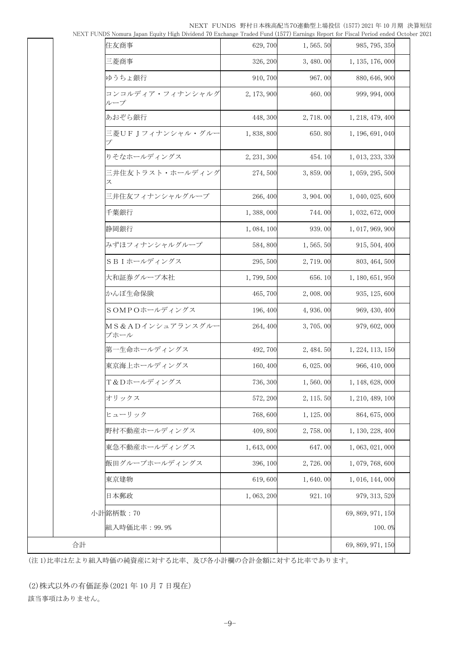NEXT FUNDS 野村日本株高配当70連動型上場投信 (1577) 2021 年 10 月期 決算短信

| NEXT FUNDS Nomura Japan Equity High Dividend 70 Exchange Traded Fund (1577) Earnings Report for Fiscal Period ended October 2021 |  |
|----------------------------------------------------------------------------------------------------------------------------------|--|
|----------------------------------------------------------------------------------------------------------------------------------|--|

| INEXT LOINDS INOTHER Tapan Edulty Library Divident TO EXCHange Traded Library Darmings Report for Liscal Leftod Gilded Octob |             |            |                   |
|------------------------------------------------------------------------------------------------------------------------------|-------------|------------|-------------------|
| 住友商事                                                                                                                         | 629,700     | 1,565.50   | 985, 795, 350     |
| 三菱商事                                                                                                                         | 326, 200    | 3,480.00   | 1, 135, 176, 000  |
| ゆうちょ銀行                                                                                                                       | 910,700     | 967.00     | 880, 646, 900     |
| コンコルディア・フィナンシャルグ<br>ループ                                                                                                      | 2, 173, 900 | 460.00     | 999, 994, 000     |
| あおぞら銀行                                                                                                                       | 448, 300    | 2,718.00   | 1, 218, 479, 400  |
| 三菱UFIフィナンシャル・グルー                                                                                                             | 1,838,800   | 650.80     | 1, 196, 691, 040  |
| りそなホールディングス                                                                                                                  | 2, 231, 300 | 454.10     | 1, 013, 233, 330  |
| 三井住友トラスト・ホールディング<br>ス                                                                                                        | 274,500     | 3,859.00   | 1, 059, 295, 500  |
| 三井住友フィナンシャルグループ                                                                                                              | 266, 400    | 3, 904. 00 | 1, 040, 025, 600  |
| 千葉銀行                                                                                                                         | 1,388,000   | 744.00     | 1, 032, 672, 000  |
| 静岡銀行                                                                                                                         | 1, 084, 100 | 939.00     | 1, 017, 969, 900  |
| みずほフィナンシャルグループ                                                                                                               | 584,800     | 1, 565. 50 | 915, 504, 400     |
| SBIホールディングス                                                                                                                  | 295,500     | 2,719.00   | 803, 464, 500     |
| 大和証券グループ本社                                                                                                                   | 1,799,500   | 656.10     | 1, 180, 651, 950  |
| かんぽ生命保険                                                                                                                      | 465,700     | 2,008.00   | 935, 125, 600     |
| SOMPOホールディングス                                                                                                                | 196, 400    | 4,936.00   | 969, 430, 400     |
| MS&ADインシュアランスグルー<br>プホール                                                                                                     | 264, 400    | 3,705.00   | 979, 602, 000     |
| 第一生命ホールディングス                                                                                                                 | 492,700     | 2, 484.50  | 1, 224, 113, 150  |
| 東京海上ホールディングス                                                                                                                 | 160, 400    | 6,025.00   | 966, 410, 000     |
| T&Dホールディングス                                                                                                                  | 736, 300    | 1,560.00   | 1, 148, 628, 000  |
| オリックス                                                                                                                        | 572, 200    | 2, 115.50  | 1, 210, 489, 100  |
| ヒューリック                                                                                                                       | 768,600     | 1, 125.00  | 864, 675, 000     |
| 野村不動産ホールディングス                                                                                                                | 409,800     | 2,758.00   | 1, 130, 228, 400  |
| 東急不動産ホールディングス                                                                                                                | 1,643,000   | 647.00     | 1, 063, 021, 000  |
| 飯田グループホールディングス                                                                                                               | 396, 100    | 2,726.00   | 1,079,768,600     |
| 東京建物                                                                                                                         | 619,600     | 1,640.00   | 1, 016, 144, 000  |
| 日本郵政                                                                                                                         | 1,063,200   | 921.10     | 979, 313, 520     |
| 小計銘柄数: 70                                                                                                                    |             |            | 69, 869, 971, 150 |
| 組入時価比率: 99.9%                                                                                                                |             |            | 100.0%            |
|                                                                                                                              |             |            | 69, 869, 971, 150 |

(注 1)比率は左より組入時価の純資産に対する比率、及び各小計欄の合計金額に対する比率であります。

(2)株式以外の有価証券(2021 年 10 月 7 日現在) 該当事項はありません。